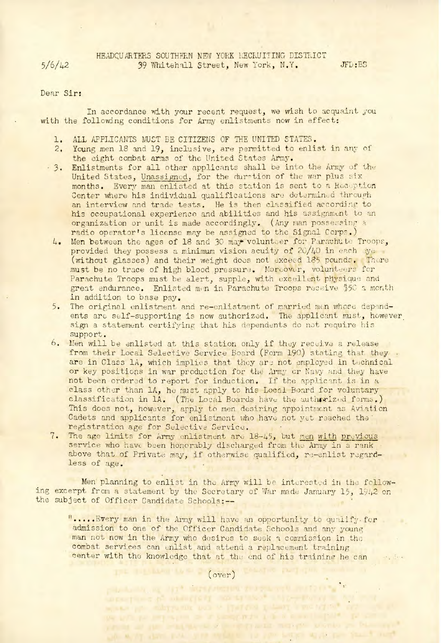HEADQUARTERS SOUTHERN NEW YORK RECRUITING DISTRICT 39 Whitehall Street, New York, N.Y. JFD:BS

5/6/42

## Dear Sir:

In accordance with your recent request, we wish to acquaint you with the following conditions for Army enlistments now in effect:

- l. ALL APPLICANTS MUST BE CITIZENS OF THE UNITED STATES.
- 2. Young men 18 and 19, inclusive, are permitted to enlist in any of the eight combat arms of the United States Army.
- 3. Enlistments for all other applicants shall be into the Army of the United States, Unassigned, for the duration of the war plus six months. Every man enlisted at this station is sent to a Reception Center where his individual qualifications are determined through an interview and trade tests. He is then classified according to his occupational experience and abilities and his assignment to an organization or unit is made accordingly. (Any man possessing a radio operator's license may be assigned to the Signal Corps.)
	- 4. Men between the ages of 18 and 30 may volunteer for Parachute Troops, provided they possess a minimum vision acuity of  $20/40$  in each ye (without glasses) and their weight does not exceed 185 pounds. There must be no trace of high blood pressure. Moreover, volunteers for Parachute Troops must be alert, supple, with excellent physique and great endurance. Enlisted men in Parachute Troops receive \$50 a mont in addition to base pay.
- 5. The original enlistment and re-enlistment of married men whose dependents are self-supporting is now authorized. The applicant must, however sign a statement certifying that his dependents do not require his support.
- 6. Men will be enlisted at this station only if they receive a release from their Local Selective Service Board (Form 190) stating that they. are in Class 1A, which implies that they are not employed in technical or key positions in war production for the Army or Navy and they have not been ordered to report for induction. If the applicant is in a class other than 1A, he must apply to his Local Board for voluntary classification in 1A. (The Local Boards have the authorized forms This does not, however, apply to men desiring appointment as Aviation Cadets and applicants for enlistment who have not yet reached the registration age for Selective Service.
- 7. The age limits for Army enlistment are 18-45, but men with previous service who have been honorably discharged from the Army in a rank above that of Private may, if otherwise qualified, re-enlist regardless of age.

Men planning to enlist in the Army will be interested in the following excerpt from a statement by the Secretary of War made January 15, 1942 on the subject of Officer Candidate Schools:--

 $"$ ..... $E$ very man in the Army will have an opportunity to qualify for admission to one of the Officer Candidate Schools and any young man not now in the Army who desires to seek a commission in the combat services can enlist and attend a replacement training center with the knowledge that at the end of his training he can  $\mathcal{O}(\mathcal{O}_\mathcal{L})$ 

> $(over)$ terrange of this private control to the sign with the

prostung at mangicity and travel attempt at where you subgradue out of lighters i they i me of so" the party per perpendicular of a person motor at the second implied to the vision as an imagination of a cylindar margin solonio pe-A WINT AND THE THE THE MEANS TO THE LINE WITH THE